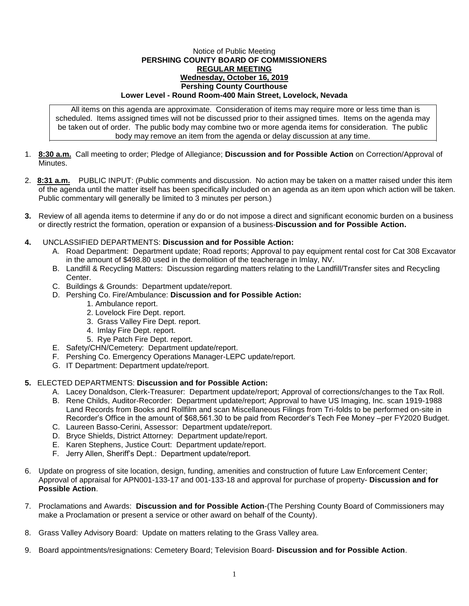## Notice of Public Meeting **PERSHING COUNTY BOARD OF COMMISSIONERS REGULAR MEETING Wednesday, October 16, 2019 Pershing County Courthouse Lower Level - Round Room-400 Main Street, Lovelock, Nevada**

All items on this agenda are approximate. Consideration of items may require more or less time than is scheduled. Items assigned times will not be discussed prior to their assigned times. Items on the agenda may be taken out of order. The public body may combine two or more agenda items for consideration. The public body may remove an item from the agenda or delay discussion at any time.

- 1. **8:30 a.m.** Call meeting to order; Pledge of Allegiance; **Discussion and for Possible Action** on Correction/Approval of Minutes.
- 2. **8:31 a.m.** PUBLIC INPUT: (Public comments and discussion. No action may be taken on a matter raised under this item of the agenda until the matter itself has been specifically included on an agenda as an item upon which action will be taken. Public commentary will generally be limited to 3 minutes per person.)
- **3.** Review of all agenda items to determine if any do or do not impose a direct and significant economic burden on a business or directly restrict the formation, operation or expansion of a business-**Discussion and for Possible Action.**
- **4.** UNCLASSIFIED DEPARTMENTS: **Discussion and for Possible Action:**
	- A. Road Department: Department update; Road reports; Approval to pay equipment rental cost for Cat 308 Excavator in the amount of \$498.80 used in the demolition of the teacherage in Imlay, NV.
	- B. Landfill & Recycling Matters: Discussion regarding matters relating to the Landfill/Transfer sites and Recycling Center.
	- C. Buildings & Grounds: Department update/report.
	- D. Pershing Co. Fire/Ambulance: **Discussion and for Possible Action:**
		- 1. Ambulance report.
		- 2. Lovelock Fire Dept. report.
		- 3. Grass Valley Fire Dept. report.
		- 4. Imlay Fire Dept. report.
		- 5. Rye Patch Fire Dept. report.
	- E. Safety/CHN/Cemetery: Department update/report.
	- F. Pershing Co. Emergency Operations Manager-LEPC update/report.
	- G. IT Department: Department update/report.

## **5.** ELECTED DEPARTMENTS: **Discussion and for Possible Action:**

- A. Lacey Donaldson, Clerk-Treasurer: Department update/report; Approval of corrections/changes to the Tax Roll.
- B. Rene Childs, Auditor-Recorder: Department update/report; Approval to have US Imaging, Inc. scan 1919-1988 Land Records from Books and Rollfilm and scan Miscellaneous Filings from Tri-folds to be performed on-site in Recorder's Office in the amount of \$68,561.30 to be paid from Recorder's Tech Fee Money –per FY2020 Budget.
- C. Laureen Basso-Cerini, Assessor: Department update/report.
- D. Bryce Shields, District Attorney: Department update/report.
- E. Karen Stephens, Justice Court: Department update/report.
- F. Jerry Allen, Sheriff's Dept.: Department update/report.
- 6. Update on progress of site location, design, funding, amenities and construction of future Law Enforcement Center; Approval of appraisal for APN001-133-17 and 001-133-18 and approval for purchase of property- **Discussion and for Possible Action**.
- 7. Proclamations and Awards: **Discussion and for Possible Action**-(The Pershing County Board of Commissioners may make a Proclamation or present a service or other award on behalf of the County).
- 8. Grass Valley Advisory Board: Update on matters relating to the Grass Valley area.
- 9. Board appointments/resignations: Cemetery Board; Television Board- **Discussion and for Possible Action**.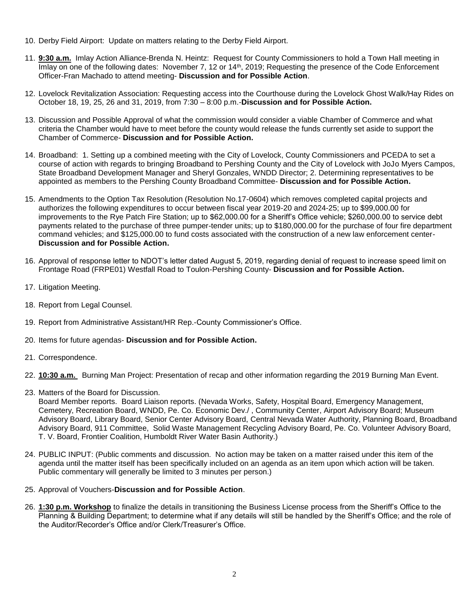- 10. Derby Field Airport: Update on matters relating to the Derby Field Airport.
- 11. **9:30 a.m.** Imlay Action Alliance-Brenda N. Heintz: Request for County Commissioners to hold a Town Hall meeting in Imlay on one of the following dates: November 7, 12 or 14<sup>th</sup>, 2019; Requesting the presence of the Code Enforcement Officer-Fran Machado to attend meeting- **Discussion and for Possible Action**.
- 12. Lovelock Revitalization Association: Requesting access into the Courthouse during the Lovelock Ghost Walk/Hay Rides on October 18, 19, 25, 26 and 31, 2019, from 7:30 – 8:00 p.m.-**Discussion and for Possible Action.**
- 13. Discussion and Possible Approval of what the commission would consider a viable Chamber of Commerce and what criteria the Chamber would have to meet before the county would release the funds currently set aside to support the Chamber of Commerce- **Discussion and for Possible Action.**
- 14. Broadband: 1. Setting up a combined meeting with the City of Lovelock, County Commissioners and PCEDA to set a course of action with regards to bringing Broadband to Pershing County and the City of Lovelock with JoJo Myers Campos, State Broadband Development Manager and Sheryl Gonzales, WNDD Director; 2. Determining representatives to be appointed as members to the Pershing County Broadband Committee- **Discussion and for Possible Action.**
- 15. Amendments to the Option Tax Resolution (Resolution No.17-0604) which removes completed capital projects and authorizes the following expenditures to occur between fiscal year 2019-20 and 2024-25; up to \$99,000.00 for improvements to the Rye Patch Fire Station; up to \$62,000.00 for a Sheriff's Office vehicle; \$260,000.00 to service debt payments related to the purchase of three pumper-tender units; up to \$180,000.00 for the purchase of four fire department command vehicles; and \$125,000.00 to fund costs associated with the construction of a new law enforcement center-**Discussion and for Possible Action.**
- 16. Approval of response letter to NDOT's letter dated August 5, 2019, regarding denial of request to increase speed limit on Frontage Road (FRPE01) Westfall Road to Toulon-Pershing County- **Discussion and for Possible Action.**
- 17. Litigation Meeting.
- 18. Report from Legal Counsel.
- 19. Report from Administrative Assistant/HR Rep.-County Commissioner's Office.
- 20. Items for future agendas- **Discussion and for Possible Action.**
- 21. Correspondence.
- 22. **10:30 a.m.** Burning Man Project: Presentation of recap and other information regarding the 2019 Burning Man Event.
- 23. Matters of the Board for Discussion.
	- Board Member reports. Board Liaison reports. (Nevada Works, Safety, Hospital Board, Emergency Management, Cemetery, Recreation Board, WNDD, Pe. Co. Economic Dev./ , Community Center, Airport Advisory Board; Museum Advisory Board, Library Board, Senior Center Advisory Board, Central Nevada Water Authority, Planning Board, Broadband Advisory Board, 911 Committee, Solid Waste Management Recycling Advisory Board, Pe. Co. Volunteer Advisory Board, T. V. Board, Frontier Coalition, Humboldt River Water Basin Authority.)
- 24. PUBLIC INPUT: (Public comments and discussion. No action may be taken on a matter raised under this item of the agenda until the matter itself has been specifically included on an agenda as an item upon which action will be taken. Public commentary will generally be limited to 3 minutes per person.)
- 25. Approval of Vouchers-**Discussion and for Possible Action**.
- 26. **1:30 p.m. Workshop** to finalize the details in transitioning the Business License process from the Sheriff's Office to the Planning & Building Department; to determine what if any details will still be handled by the Sheriff's Office; and the role of the Auditor/Recorder's Office and/or Clerk/Treasurer's Office.